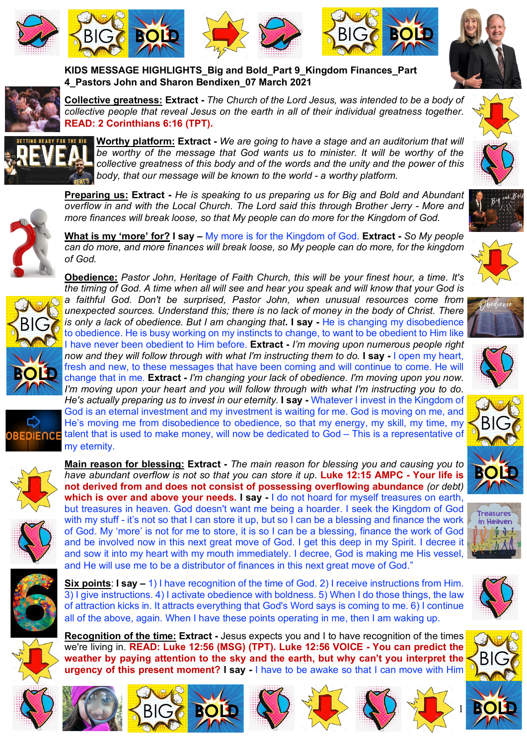





**KIDS MESSAGE HIGHLIGHTS\_Big and Bold\_Part 9\_Kingdom Finances\_Part** 

**4\_Pastors John and Sharon Bendixen\_07 March 2021** 







**Collective greatness: Extract -** *The Church of the Lord Jesus, was intended to be a body of collective people that reveal Jesus on the earth in all of their individual greatness together.*  **READ: 2 Corinthians 6:16 (TPT).** 



**Worthy platform: Extract -** *We are going to have a stage and an auditorium that will be worthy of the message that God wants us to minister. It will be worthy of the collective greatness of this body and of the words and the unity and the power of this body, that our message will be known to the world - a worthy platform.* 



*more finances will break loose, so that My people can do more for the Kingdom of God.*  **What is my 'more' for? I say –** My more is for the Kingdom of God. **Extract -** *So My people can do more, and more finances will break loose, so My people can do more, for the kingdom of God.*

**Preparing us: Extract -** *He is speaking to us preparing us for Big and Bold and Abundant overflow in and with the Local Church. The Lord said this through Brother Jerry - More and* 



**Obedience:** *Pastor John, Heritage of Faith Church, this will be your finest hour, a time. It's the timing of God. A time when all will see and hear you speak and will know that your God is a faithful God. Don't be surprised, Pastor John, when unusual resources come from unexpected sources. Understand this; there is no lack of money in the body of Christ. There is only a lack of obedience. But I am changing that.* **I say** - He is changing my disobedience to obedience. He is busy working on my instincts to change, to want to be obedient to Him like I have never been obedient to Him before. **Extract -** *I'm moving upon numerous people right now and they will follow through with what I'm instructing them to do.* **I say -** I open my heart, fresh and new, to these messages that have been coming and will continue to come. He will change that in me. **Extract -** *I'm changing your lack of obedience. I'm moving upon you now. I'm moving upon your heart and you will follow through with what I'm instructing you to do. He's actually preparing us to invest in our eternity.* **I say -** Whatever I invest in the Kingdom of God is an eternal investment and my investment is waiting for me. God is moving on me, and He's moving me from disobedience to obedience, so that my energy, my skill, my time, my talent that is used to make money, will now be dedicated to God – This is a representative of my eternity.



**DIENCE** 





**not derived from and does not consist of possessing overflowing abundance** *(or debt)* **which is over and above your needs. I say -** I do not hoard for myself treasures on earth, but treasures in heaven. God doesn't want me being a hoarder. I seek the Kingdom of God with my stuff - it's not so that I can store it up, but so I can be a blessing and finance the work of God. My 'more' is not for me to store, it is so I can be a blessing, finance the work of God and be involved now in this next great move of God. I get this deep in my Spirit. I decree it and sow it into my heart with my mouth immediately. I decree, God is making me His vessel, and He will use me to be a distributor of finances in this next great move of God."



**Recognition of the time: Extract -** Jesus expects you and I to have recognition of the times we're living in. **READ: Luke 12:56 (MSG) (TPT). Luke 12:56 VOICE - You can predict the weather by paying attention to the sky and the earth, but why can't you interpret the urgency of this present moment? I say -** I have to be awake so that I can move with Him